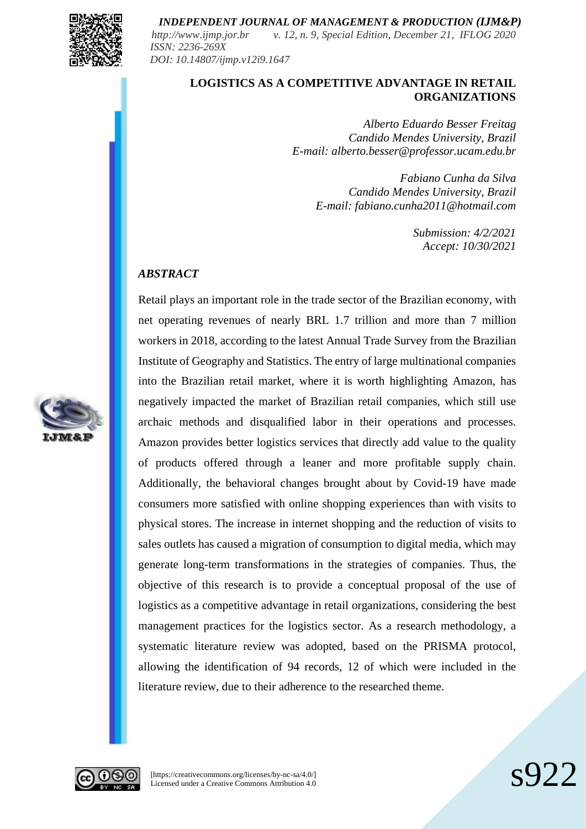

*http://www.ijmp.jor.br v. 12, n. 9, Special Edition, December 21, IFLOG 2020 ISSN: 2236-269X DOI: 10.14807/ijmp.v12i9.1647*

## **LOGISTICS AS A COMPETITIVE ADVANTAGE IN RETAIL ORGANIZATIONS**

*Alberto Eduardo Besser Freitag Candido Mendes University, Brazil E-mail: alberto.besser@professor.ucam.edu.br*

> *Fabiano Cunha da Silva Candido Mendes University, Brazil E-mail: fabiano.cunha2011@hotmail.com*

> > *Submission: 4/2/2021 Accept: 10/30/2021*

#### *ABSTRACT*

Retail plays an important role in the trade sector of the Brazilian economy, with net operating revenues of nearly BRL 1.7 trillion and more than 7 million workers in 2018, according to the latest Annual Trade Survey from the Brazilian Institute of Geography and Statistics. The entry of large multinational companies into the Brazilian retail market, where it is worth highlighting Amazon, has negatively impacted the market of Brazilian retail companies, which still use archaic methods and disqualified labor in their operations and processes. Amazon provides better logistics services that directly add value to the quality of products offered through a leaner and more profitable supply chain. Additionally, the behavioral changes brought about by Covid-19 have made consumers more satisfied with online shopping experiences than with visits to physical stores. The increase in internet shopping and the reduction of visits to sales outlets has caused a migration of consumption to digital media, which may generate long-term transformations in the strategies of companies. Thus, the objective of this research is to provide a conceptual proposal of the use of logistics as a competitive advantage in retail organizations, considering the best management practices for the logistics sector. As a research methodology, a systematic literature review was adopted, based on the PRISMA protocol, allowing the identification of 94 records, 12 of which were included in the literature review, due to their adherence to the researched theme.





[https://creativecommons.org/licenses/by-nc-sa/4.0/] [https://creativecommons.org/licenses/by-nc-sa/4.0/]<br>Licensed under a Creative Commons Attribution 4.0  $\text{S922}$ 

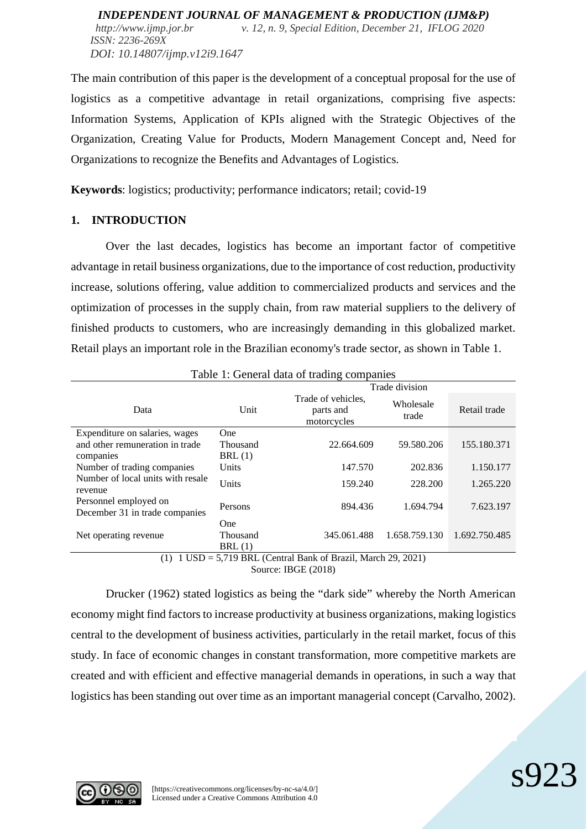The main contribution of this paper is the development of a conceptual proposal for the use of logistics as a competitive advantage in retail organizations, comprising five aspects: Information Systems, Application of KPIs aligned with the Strategic Objectives of the Organization, Creating Value for Products, Modern Management Concept and, Need for Organizations to recognize the Benefits and Advantages of Logistics.

**Keywords**: logistics; productivity; performance indicators; retail; covid-19

## **1. INTRODUCTION**

Over the last decades, logistics has become an important factor of competitive advantage in retail business organizations, due to the importance of cost reduction, productivity increase, solutions offering, value addition to commercialized products and services and the optimization of processes in the supply chain, from raw material suppliers to the delivery of finished products to customers, who are increasingly demanding in this globalized market. Retail plays an important role in the Brazilian economy's trade sector, as shown in Table 1.

| Table 1. Octicial data of trading companies                                 |              |                                                |                    |               |  |
|-----------------------------------------------------------------------------|--------------|------------------------------------------------|--------------------|---------------|--|
|                                                                             |              | Trade division                                 |                    |               |  |
| Data                                                                        | Unit         | Trade of vehicles.<br>parts and<br>motorcycles | Wholesale<br>trade | Retail trade  |  |
| Expenditure on salaries, wages                                              | <b>One</b>   |                                                |                    |               |  |
| and other remuneration in trade                                             | Thousand     | 22.664.609                                     | 59.580.206         | 155.180.371   |  |
| companies                                                                   | BRL(1)       |                                                |                    |               |  |
| Number of trading companies<br>Number of local units with resale<br>revenue | <b>Units</b> | 147.570                                        | 202.836            | 1.150.177     |  |
|                                                                             | Units        | 159.240                                        | 228.200            | 1.265.220     |  |
| Personnel employed on<br>December 31 in trade companies                     | Persons      | 894.436                                        | 1.694.794          | 7.623.197     |  |
|                                                                             | <b>One</b>   |                                                |                    |               |  |
| Net operating revenue                                                       | Thousand     | 345.061.488                                    | 1.658.759.130      | 1.692.750.485 |  |
|                                                                             | BRL(1)       |                                                |                    |               |  |
| $1$ USD = 5,719 BRL (Central Bank of Brazil, March 29, 2021)<br>(1)         |              |                                                |                    |               |  |

Table 1: General data of trading companies

Source: IBGE (2018)

Drucker (1962) stated logistics as being the "dark side" whereby the North American economy might find factors to increase productivity at business organizations, making logistics central to the development of business activities, particularly in the retail market, focus of this study. In face of economic changes in constant transformation, more competitive markets are created and with efficient and effective managerial demands in operations, in such a way that logistics has been standing out over time as an important managerial concept (Carvalho, 2002).

s923

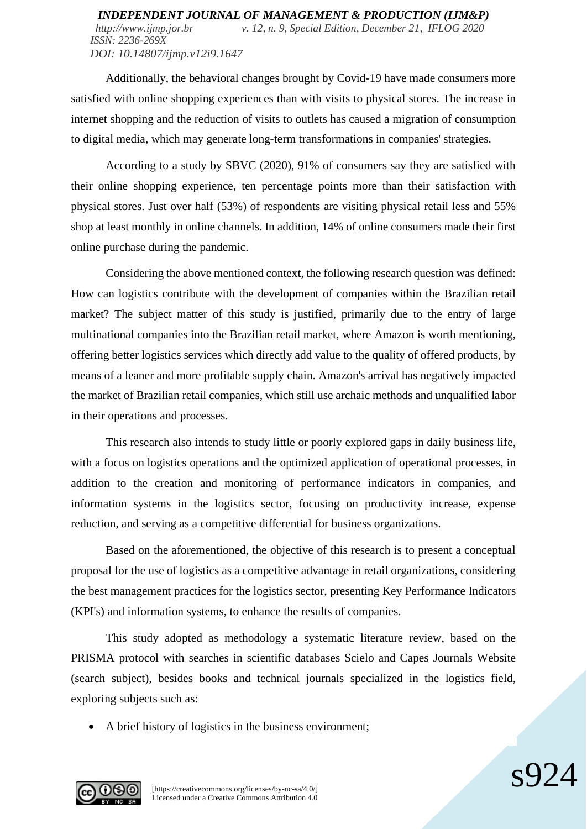Additionally, the behavioral changes brought by Covid-19 have made consumers more satisfied with online shopping experiences than with visits to physical stores. The increase in internet shopping and the reduction of visits to outlets has caused a migration of consumption to digital media, which may generate long-term transformations in companies' strategies.

According to a study by SBVC (2020), 91% of consumers say they are satisfied with their online shopping experience, ten percentage points more than their satisfaction with physical stores. Just over half (53%) of respondents are visiting physical retail less and 55% shop at least monthly in online channels. In addition, 14% of online consumers made their first online purchase during the pandemic.

Considering the above mentioned context, the following research question was defined: How can logistics contribute with the development of companies within the Brazilian retail market? The subject matter of this study is justified, primarily due to the entry of large multinational companies into the Brazilian retail market, where Amazon is worth mentioning, offering better logistics services which directly add value to the quality of offered products, by means of a leaner and more profitable supply chain. Amazon's arrival has negatively impacted the market of Brazilian retail companies, which still use archaic methods and unqualified labor in their operations and processes.

This research also intends to study little or poorly explored gaps in daily business life, with a focus on logistics operations and the optimized application of operational processes, in addition to the creation and monitoring of performance indicators in companies, and information systems in the logistics sector, focusing on productivity increase, expense reduction, and serving as a competitive differential for business organizations.

Based on the aforementioned, the objective of this research is to present a conceptual proposal for the use of logistics as a competitive advantage in retail organizations, considering the best management practices for the logistics sector, presenting Key Performance Indicators (KPI's) and information systems, to enhance the results of companies.

This study adopted as methodology a systematic literature review, based on the PRISMA protocol with searches in scientific databases Scielo and Capes Journals Website (search subject), besides books and technical journals specialized in the logistics field, exploring subjects such as:

 $\varsigma$ Q

• A brief history of logistics in the business environment;

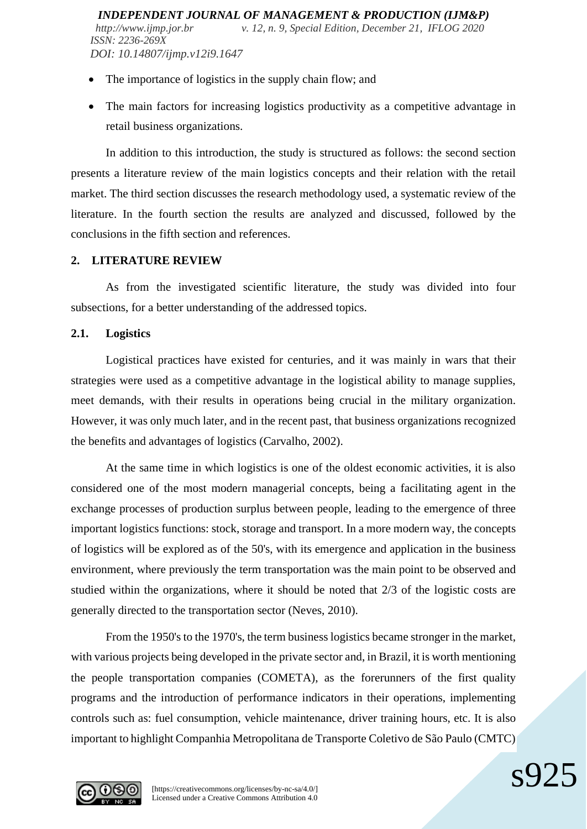- The importance of logistics in the supply chain flow; and
- The main factors for increasing logistics productivity as a competitive advantage in retail business organizations.

In addition to this introduction, the study is structured as follows: the second section presents a literature review of the main logistics concepts and their relation with the retail market. The third section discusses the research methodology used, a systematic review of the literature. In the fourth section the results are analyzed and discussed, followed by the conclusions in the fifth section and references.

## **2. LITERATURE REVIEW**

As from the investigated scientific literature, the study was divided into four subsections, for a better understanding of the addressed topics.

## **2.1. Logistics**

Logistical practices have existed for centuries, and it was mainly in wars that their strategies were used as a competitive advantage in the logistical ability to manage supplies, meet demands, with their results in operations being crucial in the military organization. However, it was only much later, and in the recent past, that business organizations recognized the benefits and advantages of logistics (Carvalho, 2002).

At the same time in which logistics is one of the oldest economic activities, it is also considered one of the most modern managerial concepts, being a facilitating agent in the exchange processes of production surplus between people, leading to the emergence of three important logistics functions: stock, storage and transport. In a more modern way, the concepts of logistics will be explored as of the 50's, with its emergence and application in the business environment, where previously the term transportation was the main point to be observed and studied within the organizations, where it should be noted that 2/3 of the logistic costs are generally directed to the transportation sector (Neves, 2010).

From the 1950's to the 1970's, the term business logistics became stronger in the market, with various projects being developed in the private sector and, in Brazil, it is worth mentioning the people transportation companies (COMETA), as the forerunners of the first quality programs and the introduction of performance indicators in their operations, implementing controls such as: fuel consumption, vehicle maintenance, driver training hours, etc. It is also important to highlight Companhia Metropolitana de Transporte Coletivo de São Paulo (CMTC)

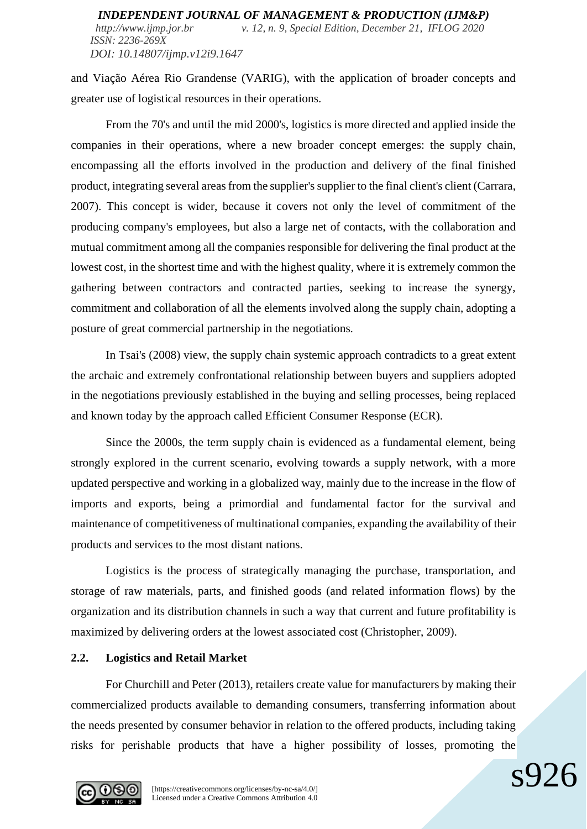and Viação Aérea Rio Grandense (VARIG), with the application of broader concepts and greater use of logistical resources in their operations.

From the 70's and until the mid 2000's, logistics is more directed and applied inside the companies in their operations, where a new broader concept emerges: the supply chain, encompassing all the efforts involved in the production and delivery of the final finished product, integrating several areas from the supplier's supplier to the final client's client (Carrara, 2007). This concept is wider, because it covers not only the level of commitment of the producing company's employees, but also a large net of contacts, with the collaboration and mutual commitment among all the companies responsible for delivering the final product at the lowest cost, in the shortest time and with the highest quality, where it is extremely common the gathering between contractors and contracted parties, seeking to increase the synergy, commitment and collaboration of all the elements involved along the supply chain, adopting a posture of great commercial partnership in the negotiations.

In Tsai's (2008) view, the supply chain systemic approach contradicts to a great extent the archaic and extremely confrontational relationship between buyers and suppliers adopted in the negotiations previously established in the buying and selling processes, being replaced and known today by the approach called Efficient Consumer Response (ECR).

Since the 2000s, the term supply chain is evidenced as a fundamental element, being strongly explored in the current scenario, evolving towards a supply network, with a more updated perspective and working in a globalized way, mainly due to the increase in the flow of imports and exports, being a primordial and fundamental factor for the survival and maintenance of competitiveness of multinational companies, expanding the availability of their products and services to the most distant nations.

Logistics is the process of strategically managing the purchase, transportation, and storage of raw materials, parts, and finished goods (and related information flows) by the organization and its distribution channels in such a way that current and future profitability is maximized by delivering orders at the lowest associated cost (Christopher, 2009).

## **2.2. Logistics and Retail Market**

For Churchill and Peter (2013), retailers create value for manufacturers by making their commercialized products available to demanding consumers, transferring information about the needs presented by consumer behavior in relation to the offered products, including taking risks for perishable products that have a higher possibility of losses, promoting the

s926

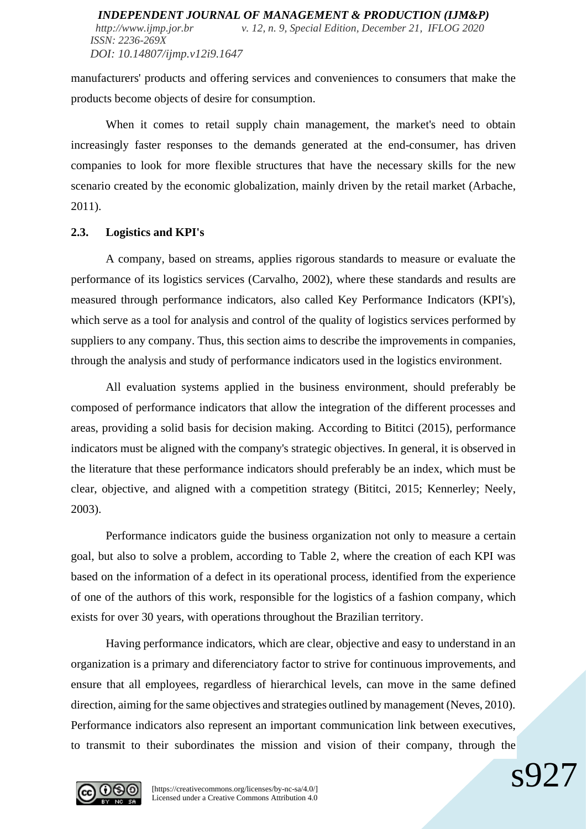manufacturers' products and offering services and conveniences to consumers that make the products become objects of desire for consumption.

When it comes to retail supply chain management, the market's need to obtain increasingly faster responses to the demands generated at the end-consumer, has driven companies to look for more flexible structures that have the necessary skills for the new scenario created by the economic globalization, mainly driven by the retail market (Arbache, 2011).

#### **2.3. Logistics and KPI's**

A company, based on streams, applies rigorous standards to measure or evaluate the performance of its logistics services (Carvalho, 2002), where these standards and results are measured through performance indicators, also called Key Performance Indicators (KPI's), which serve as a tool for analysis and control of the quality of logistics services performed by suppliers to any company. Thus, this section aims to describe the improvements in companies, through the analysis and study of performance indicators used in the logistics environment.

All evaluation systems applied in the business environment, should preferably be composed of performance indicators that allow the integration of the different processes and areas, providing a solid basis for decision making. According to Bititci (2015), performance indicators must be aligned with the company's strategic objectives. In general, it is observed in the literature that these performance indicators should preferably be an index, which must be clear, objective, and aligned with a competition strategy (Bititci, 2015; Kennerley; Neely, 2003).

Performance indicators guide the business organization not only to measure a certain goal, but also to solve a problem, according to Table 2, where the creation of each KPI was based on the information of a defect in its operational process, identified from the experience of one of the authors of this work, responsible for the logistics of a fashion company, which exists for over 30 years, with operations throughout the Brazilian territory.

Having performance indicators, which are clear, objective and easy to understand in an organization is a primary and diferenciatory factor to strive for continuous improvements, and ensure that all employees, regardless of hierarchical levels, can move in the same defined direction, aiming for the same objectives and strategies outlined by management (Neves, 2010). Performance indicators also represent an important communication link between executives, to transmit to their subordinates the mission and vision of their company, through the



[https://creativecommons.org/licenses/by-nc-sa/4.0/] Licensed under a Creative Commons Attribution 4.0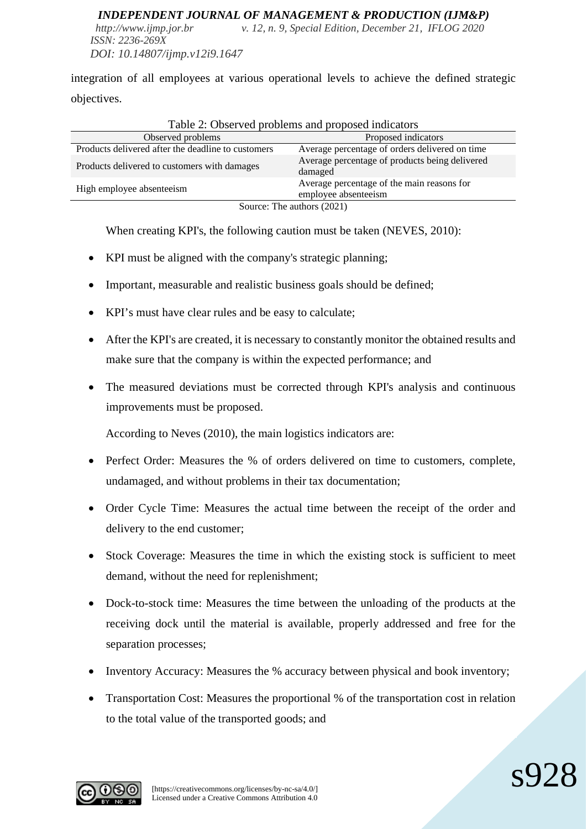*http://www.ijmp.jor.br v. 12, n. 9, Special Edition, December 21, IFLOG 2020 ISSN: 2236-269X DOI: 10.14807/ijmp.v12i9.1647*

integration of all employees at various operational levels to achieve the defined strategic objectives.

| Observed problems                                  | Proposed indicators                                                |  |  |  |
|----------------------------------------------------|--------------------------------------------------------------------|--|--|--|
| Products delivered after the deadline to customers | Average percentage of orders delivered on time                     |  |  |  |
| Products delivered to customers with damages       | Average percentage of products being delivered<br>damaged          |  |  |  |
| High employee absenteeism                          | Average percentage of the main reasons for<br>employee absenteeism |  |  |  |
| Source: The authors (2021)                         |                                                                    |  |  |  |

#### Table 2: Observed problems and proposed indicators

When creating KPI's, the following caution must be taken (NEVES, 2010):

- KPI must be aligned with the company's strategic planning;
- Important, measurable and realistic business goals should be defined;
- KPI's must have clear rules and be easy to calculate;
- After the KPI's are created, it is necessary to constantly monitor the obtained results and make sure that the company is within the expected performance; and
- The measured deviations must be corrected through KPI's analysis and continuous improvements must be proposed.

According to Neves (2010), the main logistics indicators are:

- Perfect Order: Measures the % of orders delivered on time to customers, complete, undamaged, and without problems in their tax documentation;
- Order Cycle Time: Measures the actual time between the receipt of the order and delivery to the end customer;
- Stock Coverage: Measures the time in which the existing stock is sufficient to meet demand, without the need for replenishment;
- Dock-to-stock time: Measures the time between the unloading of the products at the receiving dock until the material is available, properly addressed and free for the separation processes;
- Inventory Accuracy: Measures the % accuracy between physical and book inventory;
- Transportation Cost: Measures the proportional % of the transportation cost in relation to the total value of the transported goods; and

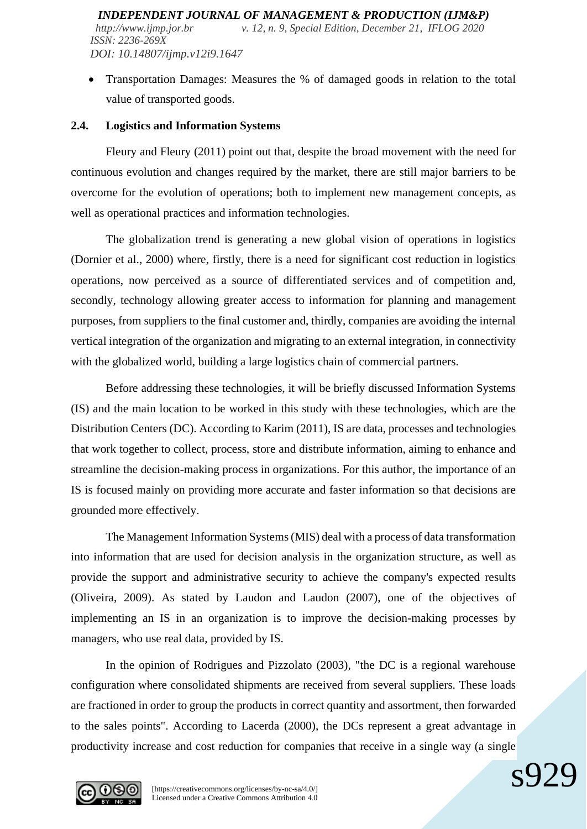• Transportation Damages: Measures the % of damaged goods in relation to the total value of transported goods.

#### **2.4. Logistics and Information Systems**

Fleury and Fleury (2011) point out that, despite the broad movement with the need for continuous evolution and changes required by the market, there are still major barriers to be overcome for the evolution of operations; both to implement new management concepts, as well as operational practices and information technologies.

The globalization trend is generating a new global vision of operations in logistics (Dornier et al., 2000) where, firstly, there is a need for significant cost reduction in logistics operations, now perceived as a source of differentiated services and of competition and, secondly, technology allowing greater access to information for planning and management purposes, from suppliers to the final customer and, thirdly, companies are avoiding the internal vertical integration of the organization and migrating to an external integration, in connectivity with the globalized world, building a large logistics chain of commercial partners.

Before addressing these technologies, it will be briefly discussed Information Systems (IS) and the main location to be worked in this study with these technologies, which are the Distribution Centers (DC). According to Karim (2011), IS are data, processes and technologies that work together to collect, process, store and distribute information, aiming to enhance and streamline the decision-making process in organizations. For this author, the importance of an IS is focused mainly on providing more accurate and faster information so that decisions are grounded more effectively.

The Management Information Systems (MIS) deal with a process of data transformation into information that are used for decision analysis in the organization structure, as well as provide the support and administrative security to achieve the company's expected results (Oliveira, 2009). As stated by Laudon and Laudon (2007), one of the objectives of implementing an IS in an organization is to improve the decision-making processes by managers, who use real data, provided by IS.

In the opinion of Rodrigues and Pizzolato (2003), "the DC is a regional warehouse configuration where consolidated shipments are received from several suppliers. These loads are fractioned in order to group the products in correct quantity and assortment, then forwarded to the sales points". According to Lacerda (2000), the DCs represent a great advantage in productivity increase and cost reduction for companies that receive in a single way (a single

 $\mathbf{s}$ 97

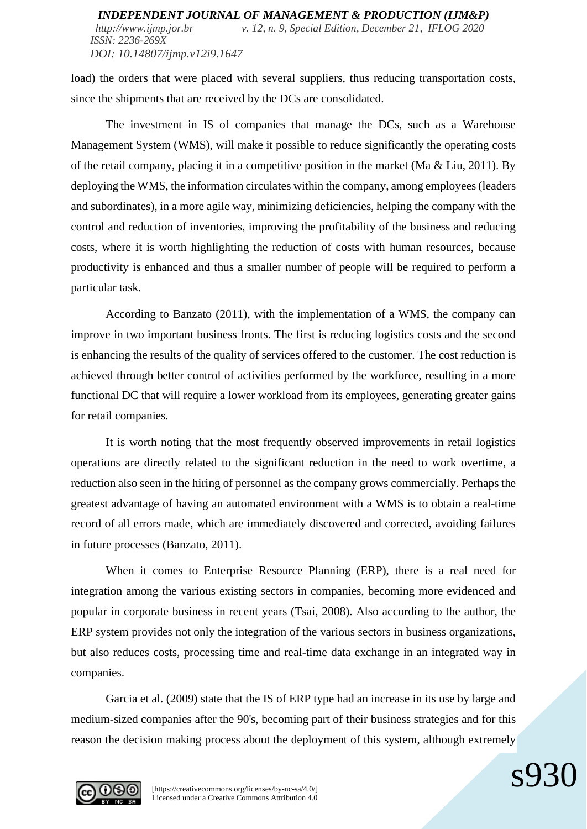load) the orders that were placed with several suppliers, thus reducing transportation costs, since the shipments that are received by the DCs are consolidated.

The investment in IS of companies that manage the DCs, such as a Warehouse Management System (WMS), will make it possible to reduce significantly the operating costs of the retail company, placing it in a competitive position in the market (Ma & Liu, 2011). By deploying the WMS, the information circulates within the company, among employees (leaders and subordinates), in a more agile way, minimizing deficiencies, helping the company with the control and reduction of inventories, improving the profitability of the business and reducing costs, where it is worth highlighting the reduction of costs with human resources, because productivity is enhanced and thus a smaller number of people will be required to perform a particular task.

According to Banzato (2011), with the implementation of a WMS, the company can improve in two important business fronts. The first is reducing logistics costs and the second is enhancing the results of the quality of services offered to the customer. The cost reduction is achieved through better control of activities performed by the workforce, resulting in a more functional DC that will require a lower workload from its employees, generating greater gains for retail companies.

It is worth noting that the most frequently observed improvements in retail logistics operations are directly related to the significant reduction in the need to work overtime, a reduction also seen in the hiring of personnel as the company grows commercially. Perhaps the greatest advantage of having an automated environment with a WMS is to obtain a real-time record of all errors made, which are immediately discovered and corrected, avoiding failures in future processes (Banzato, 2011).

When it comes to Enterprise Resource Planning (ERP), there is a real need for integration among the various existing sectors in companies, becoming more evidenced and popular in corporate business in recent years (Tsai, 2008). Also according to the author, the ERP system provides not only the integration of the various sectors in business organizations, but also reduces costs, processing time and real-time data exchange in an integrated way in companies.

Garcia et al. (2009) state that the IS of ERP type had an increase in its use by large and medium-sized companies after the 90's, becoming part of their business strategies and for this reason the decision making process about the deployment of this system, although extremely

 $\mathbf{s}93$ 



[https://creativecommons.org/licenses/by-nc-sa/4.0/] Licensed under a Creative Commons Attribution 4.0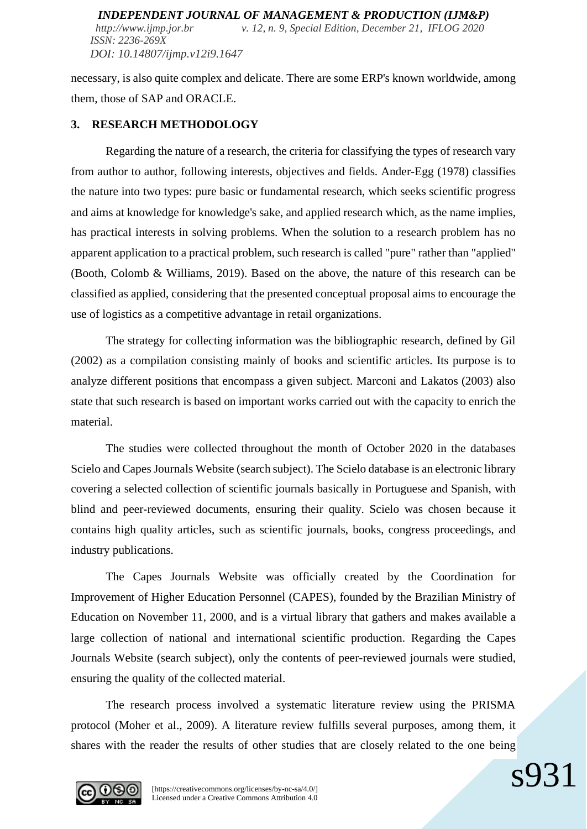necessary, is also quite complex and delicate. There are some ERP's known worldwide, among them, those of SAP and ORACLE.

#### **3. RESEARCH METHODOLOGY**

Regarding the nature of a research, the criteria for classifying the types of research vary from author to author, following interests, objectives and fields. Ander-Egg (1978) classifies the nature into two types: pure basic or fundamental research, which seeks scientific progress and aims at knowledge for knowledge's sake, and applied research which, as the name implies, has practical interests in solving problems. When the solution to a research problem has no apparent application to a practical problem, such research is called "pure" rather than "applied" (Booth, Colomb & Williams, 2019). Based on the above, the nature of this research can be classified as applied, considering that the presented conceptual proposal aims to encourage the use of logistics as a competitive advantage in retail organizations.

The strategy for collecting information was the bibliographic research, defined by Gil (2002) as a compilation consisting mainly of books and scientific articles. Its purpose is to analyze different positions that encompass a given subject. Marconi and Lakatos (2003) also state that such research is based on important works carried out with the capacity to enrich the material.

The studies were collected throughout the month of October 2020 in the databases Scielo and Capes Journals Website (search subject). The Scielo database is an electronic library covering a selected collection of scientific journals basically in Portuguese and Spanish, with blind and peer-reviewed documents, ensuring their quality. Scielo was chosen because it contains high quality articles, such as scientific journals, books, congress proceedings, and industry publications.

The Capes Journals Website was officially created by the Coordination for Improvement of Higher Education Personnel (CAPES), founded by the Brazilian Ministry of Education on November 11, 2000, and is a virtual library that gathers and makes available a large collection of national and international scientific production. Regarding the Capes Journals Website (search subject), only the contents of peer-reviewed journals were studied, ensuring the quality of the collected material.

The research process involved a systematic literature review using the PRISMA protocol (Moher et al., 2009). A literature review fulfills several purposes, among them, it shares with the reader the results of other studies that are closely related to the one being

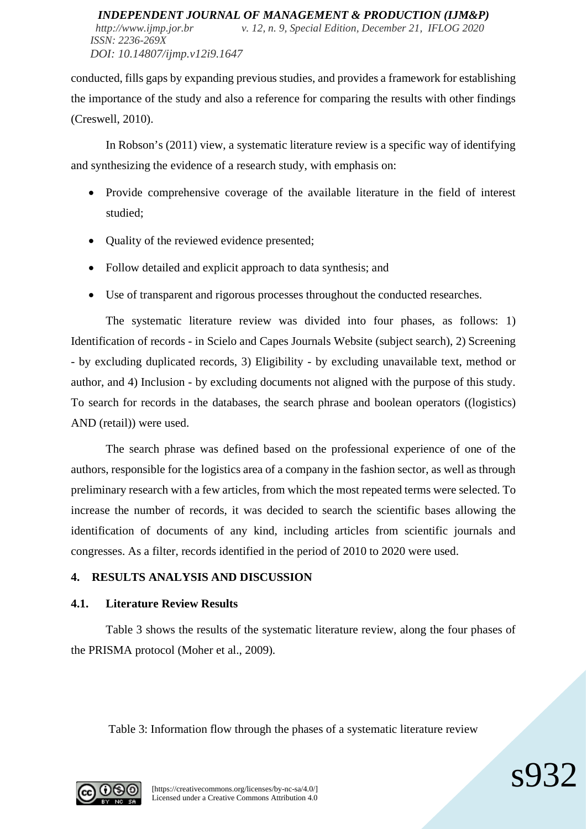*http://www.ijmp.jor.br v. 12, n. 9, Special Edition, December 21, IFLOG 2020 ISSN: 2236-269X DOI: 10.14807/ijmp.v12i9.1647*

conducted, fills gaps by expanding previous studies, and provides a framework for establishing the importance of the study and also a reference for comparing the results with other findings (Creswell, 2010).

In Robson's (2011) view, a systematic literature review is a specific way of identifying and synthesizing the evidence of a research study, with emphasis on:

- Provide comprehensive coverage of the available literature in the field of interest studied;
- Quality of the reviewed evidence presented;
- Follow detailed and explicit approach to data synthesis; and
- Use of transparent and rigorous processes throughout the conducted researches.

The systematic literature review was divided into four phases, as follows: 1) Identification of records - in Scielo and Capes Journals Website (subject search), 2) Screening - by excluding duplicated records, 3) Eligibility - by excluding unavailable text, method or author, and 4) Inclusion - by excluding documents not aligned with the purpose of this study. To search for records in the databases, the search phrase and boolean operators ((logistics) AND (retail)) were used.

The search phrase was defined based on the professional experience of one of the authors, responsible for the logistics area of a company in the fashion sector, as well as through preliminary research with a few articles, from which the most repeated terms were selected. To increase the number of records, it was decided to search the scientific bases allowing the identification of documents of any kind, including articles from scientific journals and congresses. As a filter, records identified in the period of 2010 to 2020 were used.

## **4. RESULTS ANALYSIS AND DISCUSSION**

## **4.1. Literature Review Results**

Table 3 shows the results of the systematic literature review, along the four phases of the PRISMA protocol (Moher et al., 2009).

Table 3: Information flow through the phases of a systematic literature review

 $\mathcal{S}^{Q}$ 

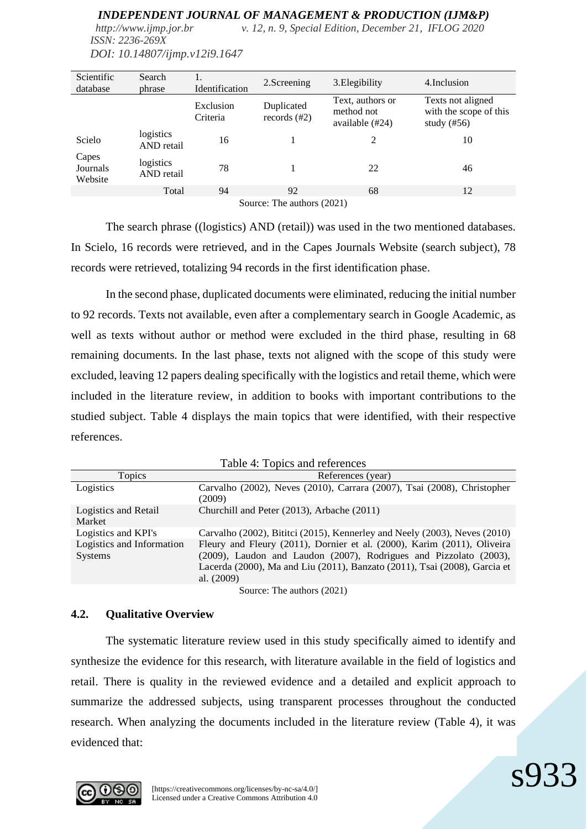*http://www.ijmp.jor.br v. 12, n. 9, Special Edition, December 21, IFLOG 2020 ISSN: 2236-269X*

| Text, authors or<br>Exclusion<br>Duplicated<br>method not<br>Criteria<br>records $(\#2)$<br>available (#24)<br>study $(\#56)$ | Texts not aligned<br>with the scope of this |
|-------------------------------------------------------------------------------------------------------------------------------|---------------------------------------------|
| logistics<br>Scielo<br>16<br>2<br>AND retail                                                                                  | 10                                          |
| Capes<br>logistics<br>78<br>Journals<br>22<br>AND retail<br>Website                                                           | 46                                          |
| Total<br>94<br>92<br>68                                                                                                       | 12                                          |

*DOI: 10.14807/ijmp.v12i9.1647*

Source: The authors (2021)

The search phrase ((logistics) AND (retail)) was used in the two mentioned databases. In Scielo, 16 records were retrieved, and in the Capes Journals Website (search subject), 78 records were retrieved, totalizing 94 records in the first identification phase.

In the second phase, duplicated documents were eliminated, reducing the initial number to 92 records. Texts not available, even after a complementary search in Google Academic, as well as texts without author or method were excluded in the third phase, resulting in 68 remaining documents. In the last phase, texts not aligned with the scope of this study were excluded, leaving 12 papers dealing specifically with the logistics and retail theme, which were included in the literature review, in addition to books with important contributions to the studied subject. Table 4 displays the main topics that were identified, with their respective references.

| Lable 4: Lopics and references              |                                                                                                                                                                                                                                         |  |
|---------------------------------------------|-----------------------------------------------------------------------------------------------------------------------------------------------------------------------------------------------------------------------------------------|--|
| Topics                                      | References (year)                                                                                                                                                                                                                       |  |
| Logistics                                   | Carvalho (2002), Neves (2010), Carrara (2007), Tsai (2008), Christopher<br>(2009)                                                                                                                                                       |  |
| Logistics and Retail<br>Market              | Churchill and Peter (2013), Arbache (2011)                                                                                                                                                                                              |  |
| Logistics and KPI's                         | Carvalho (2002), Bititci (2015), Kennerley and Neely (2003), Neves (2010)                                                                                                                                                               |  |
| Logistics and Information<br><b>Systems</b> | Fleury and Fleury (2011), Dornier et al. (2000), Karim (2011), Oliveira<br>(2009), Laudon and Laudon (2007), Rodrigues and Pizzolato (2003),<br>Lacerda (2000), Ma and Liu (2011), Banzato (2011), Tsai (2008), Garcia et<br>al. (2009) |  |

 $T = 1.1 - 4.$   $T = 1.1$ 

Source: The authors (2021)

## **4.2. Qualitative Overview**

The systematic literature review used in this study specifically aimed to identify and synthesize the evidence for this research, with literature available in the field of logistics and retail. There is quality in the reviewed evidence and a detailed and explicit approach to summarize the addressed subjects, using transparent processes throughout the conducted research. When analyzing the documents included in the literature review (Table 4), it was evidenced that:

 $\mathbf{s}^{Q}$ 3

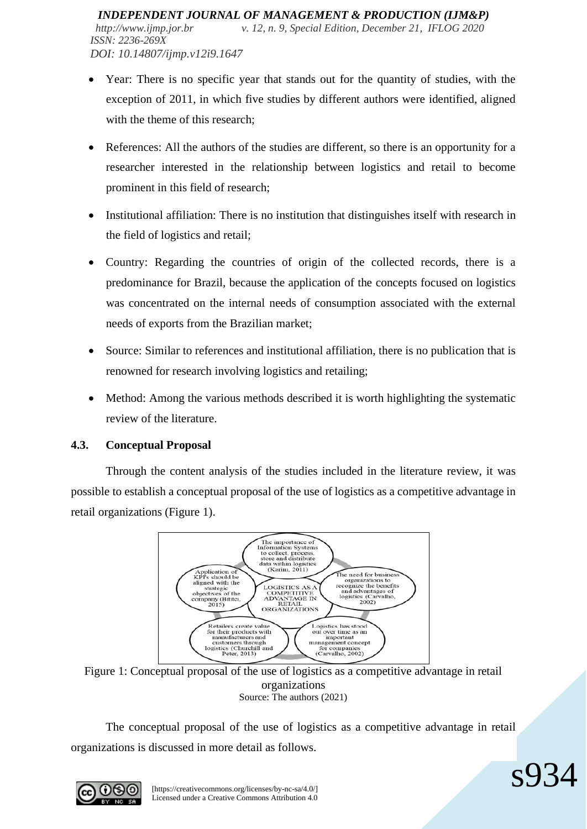- Year: There is no specific year that stands out for the quantity of studies, with the exception of 2011, in which five studies by different authors were identified, aligned with the theme of this research:
- References: All the authors of the studies are different, so there is an opportunity for a researcher interested in the relationship between logistics and retail to become prominent in this field of research;
- Institutional affiliation: There is no institution that distinguishes itself with research in the field of logistics and retail;
- Country: Regarding the countries of origin of the collected records, there is a predominance for Brazil, because the application of the concepts focused on logistics was concentrated on the internal needs of consumption associated with the external needs of exports from the Brazilian market;
- Source: Similar to references and institutional affiliation, there is no publication that is renowned for research involving logistics and retailing;
- Method: Among the various methods described it is worth highlighting the systematic review of the literature.

## **4.3. Conceptual Proposal**

Through the content analysis of the studies included in the literature review, it was possible to establish a conceptual proposal of the use of logistics as a competitive advantage in retail organizations (Figure 1).



Figure 1: Conceptual proposal of the use of logistics as a competitive advantage in retail organizations Source: The authors (2021)

The conceptual proposal of the use of logistics as a competitive advantage in retail organizations is discussed in more detail as follows.

 $\mathbf{S}^{\prime}$ 

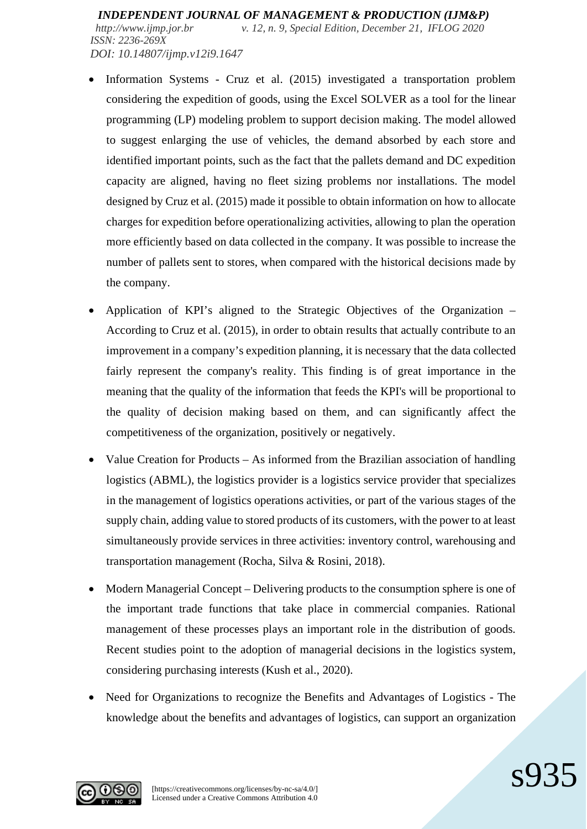*http://www.ijmp.jor.br v. 12, n. 9, Special Edition, December 21, IFLOG 2020 ISSN: 2236-269X DOI: 10.14807/ijmp.v12i9.1647*

- Information Systems Cruz et al. (2015) investigated a transportation problem considering the expedition of goods, using the Excel SOLVER as a tool for the linear programming (LP) modeling problem to support decision making. The model allowed to suggest enlarging the use of vehicles, the demand absorbed by each store and identified important points, such as the fact that the pallets demand and DC expedition capacity are aligned, having no fleet sizing problems nor installations. The model designed by Cruz et al. (2015) made it possible to obtain information on how to allocate charges for expedition before operationalizing activities, allowing to plan the operation more efficiently based on data collected in the company. It was possible to increase the number of pallets sent to stores, when compared with the historical decisions made by the company.
- Application of KPI's aligned to the Strategic Objectives of the Organization According to Cruz et al. (2015), in order to obtain results that actually contribute to an improvement in a company's expedition planning, it is necessary that the data collected fairly represent the company's reality. This finding is of great importance in the meaning that the quality of the information that feeds the KPI's will be proportional to the quality of decision making based on them, and can significantly affect the competitiveness of the organization, positively or negatively.
- Value Creation for Products As informed from the Brazilian association of handling logistics (ABML), the logistics provider is a logistics service provider that specializes in the management of logistics operations activities, or part of the various stages of the supply chain, adding value to stored products of its customers, with the power to at least simultaneously provide services in three activities: inventory control, warehousing and transportation management (Rocha, Silva & Rosini, 2018).
- Modern Managerial Concept Delivering products to the consumption sphere is one of the important trade functions that take place in commercial companies. Rational management of these processes plays an important role in the distribution of goods. Recent studies point to the adoption of managerial decisions in the logistics system, considering purchasing interests (Kush et al., 2020).
- Need for Organizations to recognize the Benefits and Advantages of Logistics The knowledge about the benefits and advantages of logistics, can support an organization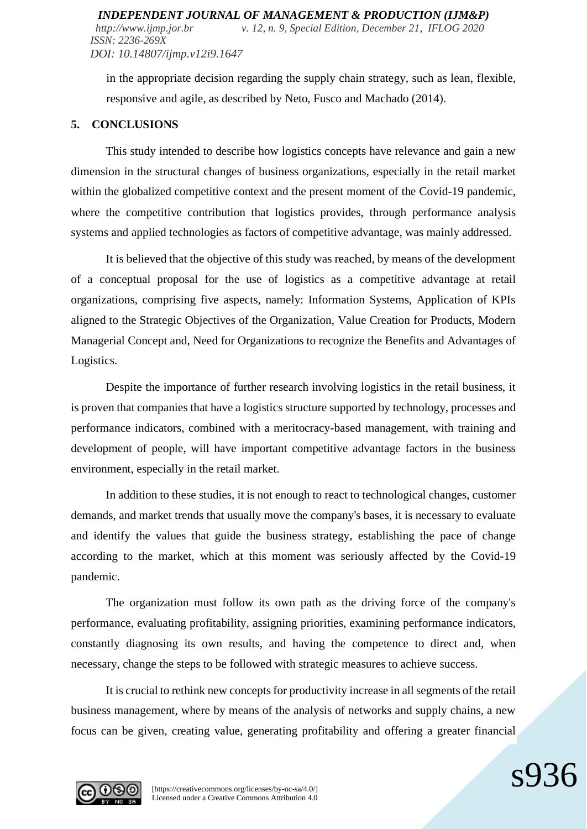in the appropriate decision regarding the supply chain strategy, such as lean, flexible, responsive and agile, as described by Neto, Fusco and Machado (2014).

#### **5. CONCLUSIONS**

This study intended to describe how logistics concepts have relevance and gain a new dimension in the structural changes of business organizations, especially in the retail market within the globalized competitive context and the present moment of the Covid-19 pandemic, where the competitive contribution that logistics provides, through performance analysis systems and applied technologies as factors of competitive advantage, was mainly addressed.

It is believed that the objective of this study was reached, by means of the development of a conceptual proposal for the use of logistics as a competitive advantage at retail organizations, comprising five aspects, namely: Information Systems, Application of KPIs aligned to the Strategic Objectives of the Organization, Value Creation for Products, Modern Managerial Concept and, Need for Organizations to recognize the Benefits and Advantages of Logistics.

Despite the importance of further research involving logistics in the retail business, it is proven that companies that have a logistics structure supported by technology, processes and performance indicators, combined with a meritocracy-based management, with training and development of people, will have important competitive advantage factors in the business environment, especially in the retail market.

In addition to these studies, it is not enough to react to technological changes, customer demands, and market trends that usually move the company's bases, it is necessary to evaluate and identify the values that guide the business strategy, establishing the pace of change according to the market, which at this moment was seriously affected by the Covid-19 pandemic.

The organization must follow its own path as the driving force of the company's performance, evaluating profitability, assigning priorities, examining performance indicators, constantly diagnosing its own results, and having the competence to direct and, when necessary, change the steps to be followed with strategic measures to achieve success.

It is crucial to rethink new concepts for productivity increase in all segments of the retail business management, where by means of the analysis of networks and supply chains, a new focus can be given, creating value, generating profitability and offering a greater financial

 $\mathbf{s}$ 93



[https://creativecommons.org/licenses/by-nc-sa/4.0/] Licensed under a Creative Commons Attribution 4.0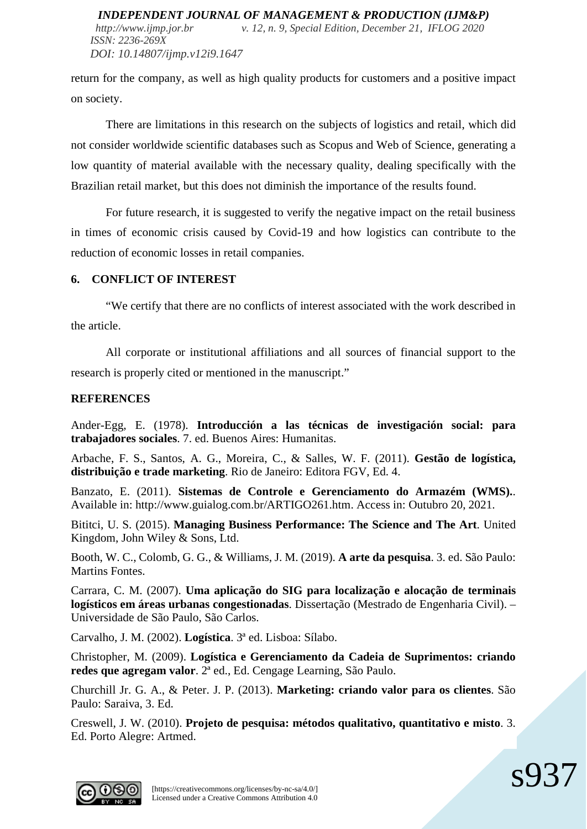*DOI: 10.14807/ijmp.v12i9.1647*

return for the company, as well as high quality products for customers and a positive impact on society.

There are limitations in this research on the subjects of logistics and retail, which did not consider worldwide scientific databases such as Scopus and Web of Science, generating a low quantity of material available with the necessary quality, dealing specifically with the Brazilian retail market, but this does not diminish the importance of the results found.

For future research, it is suggested to verify the negative impact on the retail business in times of economic crisis caused by Covid-19 and how logistics can contribute to the reduction of economic losses in retail companies.

## **6. CONFLICT OF INTEREST**

"We certify that there are no conflicts of interest associated with the work described in the article.

All corporate or institutional affiliations and all sources of financial support to the research is properly cited or mentioned in the manuscript."

## **REFERENCES**

Ander-Egg, E. (1978). **Introducción a las técnicas de investigación social: para trabajadores sociales**. 7. ed. Buenos Aires: Humanitas.

Arbache, F. S., Santos, A. G., Moreira, C., & Salles, W. F. (2011). **Gestão de logística, distribuição e trade marketing**. Rio de Janeiro: Editora FGV, Ed. 4.

Banzato, E. (2011). **Sistemas de Controle e Gerenciamento do Armazém (WMS).**. Available in: http://www.guialog.com.br/ARTIGO261.htm. Access in: Outubro 20, 2021.

Bititci, U. S. (2015). **Managing Business Performance: The Science and The Art**. United Kingdom, John Wiley & Sons, Ltd.

Booth, W. C., Colomb, G. G., & Williams, J. M. (2019). **A arte da pesquisa**. 3. ed. São Paulo: Martins Fontes.

Carrara, C. M. (2007). **Uma aplicação do SIG para localização e alocação de terminais logísticos em áreas urbanas congestionadas**. Dissertação (Mestrado de Engenharia Civil). – Universidade de São Paulo, São Carlos.

Carvalho, J. M. (2002). **Logística**. 3ª ed. Lisboa: Sílabo.

Christopher, M. (2009). **Logística e Gerenciamento da Cadeia de Suprimentos: criando redes que agregam valor**. 2ª ed., Ed. Cengage Learning, São Paulo.

Churchill Jr. G. A., & Peter. J. P. (2013). **Marketing: criando valor para os clientes**. São Paulo: Saraiva, 3. Ed.

Creswell, J. W. (2010). **Projeto de pesquisa: métodos qualitativo, quantitativo e misto**. 3. Ed. Porto Alegre: Artmed.

 $\mathbf{S}$ 93

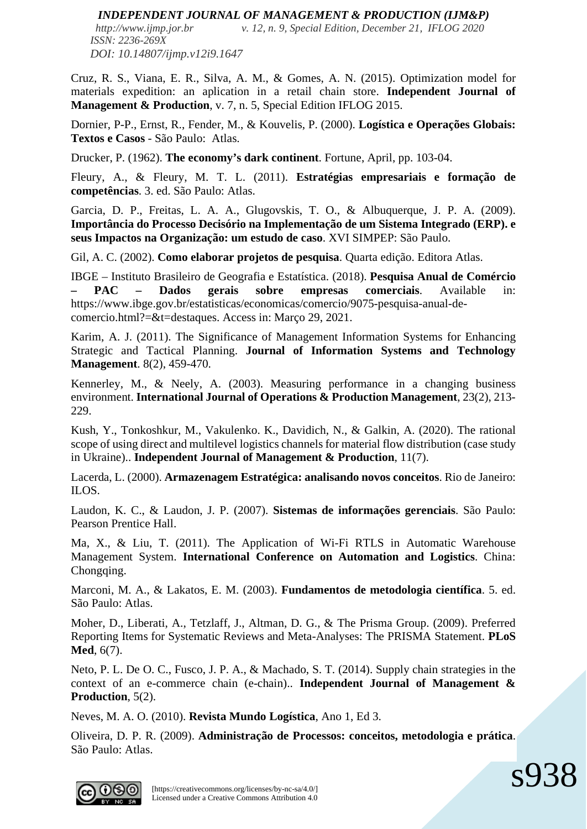*http://www.ijmp.jor.br v. 12, n. 9, Special Edition, December 21, IFLOG 2020 ISSN: 2236-269X DOI: 10.14807/ijmp.v12i9.1647*

Cruz, R. S., Viana, E. R., Silva, A. M., & Gomes, A. N. (2015). Optimization model for materials expedition: an aplication in a retail chain store. **Independent Journal of Management & Production**, v. 7, n. 5, Special Edition IFLOG 2015.

Dornier, P-P., Ernst, R., Fender, M., & Kouvelis, P. (2000). **Logística e Operações Globais: Textos e Casos** - São Paulo: Atlas.

Drucker, P. (1962). **The economy's dark continent**. Fortune, April, pp. 103-04.

Fleury, A., & Fleury, M. T. L. (2011). **Estratégias empresariais e formação de competências**. 3. ed. São Paulo: Atlas.

Garcia, D. P., Freitas, L. A. A., Glugovskis, T. O., & Albuquerque, J. P. A. (2009). **Importância do Processo Decisório na Implementação de um Sistema Integrado (ERP). e seus Impactos na Organização: um estudo de caso**. XVI SIMPEP: São Paulo.

Gil, A. C. (2002). **Como elaborar projetos de pesquisa**. Quarta edição. Editora Atlas.

IBGE – Instituto Brasileiro de Geografia e Estatística. (2018). **Pesquisa Anual de Comércio – PAC – Dados gerais sobre empresas comerciais**. Available in: https://www.ibge.gov.br/estatisticas/economicas/comercio/9075-pesquisa-anual-decomercio.html?=&t=destaques. Access in: Março 29, 2021.

Karim, A. J. (2011). The Significance of Management Information Systems for Enhancing Strategic and Tactical Planning. **Journal of Information Systems and Technology Management**. 8(2), 459-470.

Kennerley, M., & Neely, A. (2003). Measuring performance in a changing business environment. **International Journal of Operations & Production Management**, 23(2), 213- 229.

Kush, Y., Tonkoshkur, M., Vakulenko. K., Davidich, N., & Galkin, A. (2020). The rational scope of using direct and multilevel logistics channels for material flow distribution (case study in Ukraine).. **Independent Journal of Management & Production**, 11(7).

Lacerda, L. (2000). **Armazenagem Estratégica: analisando novos conceitos**. Rio de Janeiro: ILOS.

Laudon, K. C., & Laudon, J. P. (2007). **Sistemas de informações gerenciais**. São Paulo: Pearson Prentice Hall.

Ma, X., & Liu, T. (2011). The Application of Wi-Fi RTLS in Automatic Warehouse Management System. **International Conference on Automation and Logistics**. China: Chongqing.

Marconi, M. A., & Lakatos, E. M. (2003). **Fundamentos de metodologia científica**. 5. ed. São Paulo: Atlas.

Moher, D., Liberati, A., Tetzlaff, J., Altman, D. G., & The Prisma Group. (2009). Preferred Reporting Items for Systematic Reviews and Meta-Analyses: The PRISMA Statement. **PLoS Med**, 6(7).

Neto, P. L. De O. C., Fusco, J. P. A., & Machado, S. T. (2014). Supply chain strategies in the context of an e-commerce chain (e-chain).. **Independent Journal of Management & Production**, 5(2).

Neves, M. A. O. (2010). **Revista Mundo Logística**, Ano 1, Ed 3.

Oliveira, D. P. R. (2009). **Administração de Processos: conceitos, metodologia e prática**. São Paulo: Atlas.